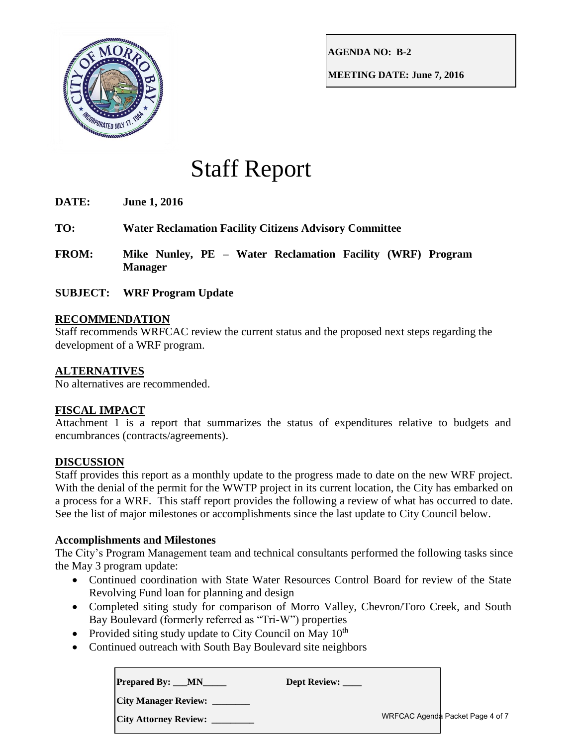

**AGENDA NO: B-2**

**MEETING DATE: June 7, 2016**

# Staff Report

**DATE: June 1, 2016**

- **TO: Water Reclamation Facility Citizens Advisory Committee**
- **FROM: Mike Nunley, PE – Water Reclamation Facility (WRF) Program Manager**
- **SUBJECT: WRF Program Update**

## **RECOMMENDATION**

Staff recommends WRFCAC review the current status and the proposed next steps regarding the development of a WRF program.

## **ALTERNATIVES**

No alternatives are recommended.

## **FISCAL IMPACT**

Attachment 1 is a report that summarizes the status of expenditures relative to budgets and encumbrances (contracts/agreements).

## **DISCUSSION**

Staff provides this report as a monthly update to the progress made to date on the new WRF project. With the denial of the permit for the WWTP project in its current location, the City has embarked on a process for a WRF. This staff report provides the following a review of what has occurred to date. See the list of major milestones or accomplishments since the last update to City Council below.

### **Accomplishments and Milestones**

The City's Program Management team and technical consultants performed the following tasks since the May 3 program update:

- Continued coordination with State Water Resources Control Board for review of the State Revolving Fund loan for planning and design
- Completed siting study for comparison of Morro Valley, Chevron/Toro Creek, and South Bay Boulevard (formerly referred as "Tri-W") properties
- Provided siting study update to City Council on May  $10^{th}$
- Continued outreach with South Bay Boulevard site neighbors

| <b>Prepared By: __MN</b>     | Dept Review: |                                  |
|------------------------------|--------------|----------------------------------|
| <b>City Manager Review:</b>  |              |                                  |
| <b>City Attorney Review:</b> |              | WRFCAC Agenda Packet Page 4 of 7 |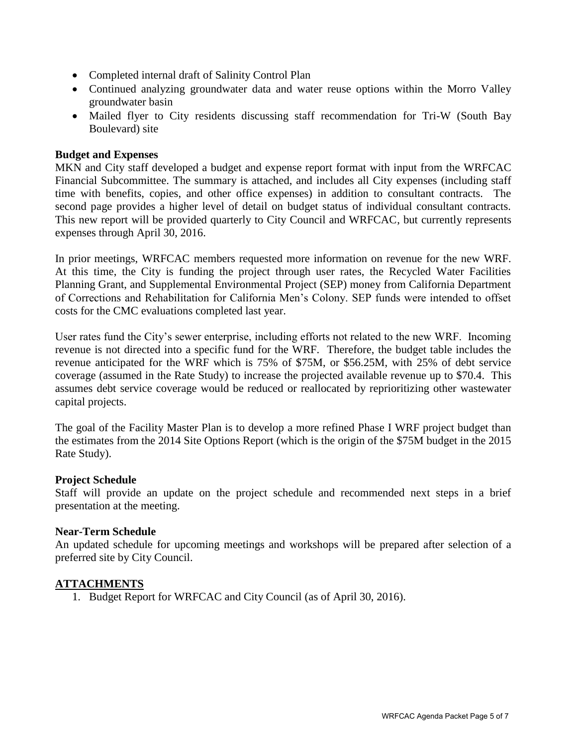- Completed internal draft of Salinity Control Plan
- Continued analyzing groundwater data and water reuse options within the Morro Valley groundwater basin
- Mailed flyer to City residents discussing staff recommendation for Tri-W (South Bay Boulevard) site

#### **Budget and Expenses**

MKN and City staff developed a budget and expense report format with input from the WRFCAC Financial Subcommittee. The summary is attached, and includes all City expenses (including staff time with benefits, copies, and other office expenses) in addition to consultant contracts. The second page provides a higher level of detail on budget status of individual consultant contracts. This new report will be provided quarterly to City Council and WRFCAC, but currently represents expenses through April 30, 2016.

In prior meetings, WRFCAC members requested more information on revenue for the new WRF. At this time, the City is funding the project through user rates, the Recycled Water Facilities Planning Grant, and Supplemental Environmental Project (SEP) money from California Department of Corrections and Rehabilitation for California Men's Colony. SEP funds were intended to offset costs for the CMC evaluations completed last year.

User rates fund the City's sewer enterprise, including efforts not related to the new WRF. Incoming revenue is not directed into a specific fund for the WRF. Therefore, the budget table includes the revenue anticipated for the WRF which is 75% of \$75M, or \$56.25M, with 25% of debt service coverage (assumed in the Rate Study) to increase the projected available revenue up to \$70.4. This assumes debt service coverage would be reduced or reallocated by reprioritizing other wastewater capital projects.

The goal of the Facility Master Plan is to develop a more refined Phase I WRF project budget than the estimates from the 2014 Site Options Report (which is the origin of the \$75M budget in the 2015 Rate Study).

#### **Project Schedule**

Staff will provide an update on the project schedule and recommended next steps in a brief presentation at the meeting.

### **Near-Term Schedule**

An updated schedule for upcoming meetings and workshops will be prepared after selection of a preferred site by City Council.

### **ATTACHMENTS**

1. Budget Report for WRFCAC and City Council (as of April 30, 2016).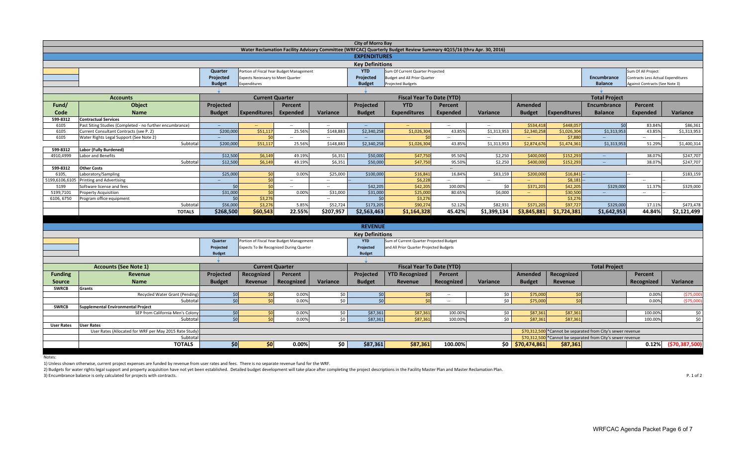| <b>City of Morro Bay</b>                                                                                            |                                                                                                              |               |                                                                                            |                          |                          |                        |                                         |                |                      |                  |                     |                                                              |                                           |                    |
|---------------------------------------------------------------------------------------------------------------------|--------------------------------------------------------------------------------------------------------------|---------------|--------------------------------------------------------------------------------------------|--------------------------|--------------------------|------------------------|-----------------------------------------|----------------|----------------------|------------------|---------------------|--------------------------------------------------------------|-------------------------------------------|--------------------|
| Water Reclamation Facility Advisory Committee (WRFCAC) Quarterly Budget Review Summary 4Q15/16 (thru Apr. 30, 2016) |                                                                                                              |               |                                                                                            |                          |                          |                        |                                         |                |                      |                  |                     |                                                              |                                           |                    |
|                                                                                                                     | <b>EXPENDITURES</b>                                                                                          |               |                                                                                            |                          |                          |                        |                                         |                |                      |                  |                     |                                                              |                                           |                    |
|                                                                                                                     | <b>Key Definitions</b>                                                                                       |               |                                                                                            |                          |                          |                        |                                         |                |                      |                  |                     |                                                              |                                           |                    |
|                                                                                                                     |                                                                                                              | Quarter       | <b>YTD</b><br>Sum Of Current Quarter Projected<br>Portion of Fiscal Year Budget Management |                          |                          |                        |                                         |                |                      |                  |                     | Sum Of All Project                                           |                                           |                    |
|                                                                                                                     |                                                                                                              | Projected     | Expects Necessary to Meet Quarter                                                          |                          |                          | Projected              | <b>Budget and All Prior Quarter</b>     |                |                      |                  |                     | <b>Encumbrance</b>                                           | <b>Contracts Less Actual Expenditures</b> |                    |
|                                                                                                                     |                                                                                                              | <b>Budget</b> | Expenditures                                                                               |                          |                          | <b>Budget</b>          | <b>Projected Budgets</b>                |                |                      |                  |                     | <b>Balance</b>                                               | Against Contracts (See Note 3)            |                    |
|                                                                                                                     | $\mathbf{v}$                                                                                                 |               |                                                                                            |                          |                          |                        |                                         |                |                      |                  |                     |                                                              |                                           |                    |
|                                                                                                                     | <b>Accounts</b>                                                                                              |               | <b>Fiscal Year To Date (YTD)</b><br><b>Current Quarter</b>                                 |                          |                          |                        |                                         |                | <b>Total Project</b> |                  |                     |                                                              |                                           |                    |
| Fund/                                                                                                               | Object                                                                                                       | Projected     |                                                                                            | Percent                  |                          | Projected              | <b>YTD</b>                              | <b>Percent</b> |                      | <b>Amended</b>   |                     | Encumbrance                                                  | Percent                                   |                    |
| Code                                                                                                                | <b>Name</b>                                                                                                  | <b>Budget</b> | <b>Expenditures</b>                                                                        | Expended                 | Variance                 | <b>Budget</b>          | <b>Expenditures</b>                     | Expended       | Variance             | <b>Budget</b>    | <b>Expenditures</b> | <b>Balance</b>                                               | <b>Expended</b>                           | Variance           |
| 599-8312                                                                                                            | <b>Contractual Services</b>                                                                                  |               |                                                                                            |                          |                          |                        |                                         |                |                      |                  |                     |                                                              |                                           |                    |
| 6105                                                                                                                | Past Siting Studies (Completed - no further encumbrance)                                                     | $\sim$        | $\sim$                                                                                     | $\sim$                   | $\sim$                   | $\sim$                 | <b>Contract</b>                         | $\sim$         | $\sim$               | \$534,418        | \$448,05            | \$0                                                          | 83.84%                                    | \$86,361           |
| 6105                                                                                                                | Current Consultant Contracts (see P. 2)                                                                      | \$200,000     | \$51,117                                                                                   | 25.56%                   | \$148,883                | \$2,340,25             | \$1,026,304                             | 43.85%         | \$1,313,953          | \$2,340,258      | \$1,026,304         | \$1,313,953                                                  | 43.859                                    | \$1,313,953        |
| 6105                                                                                                                | Water Rights Legal Support (See Note 2)                                                                      | $\sim$        | \$0                                                                                        | $\sim$                   | $\overline{\phantom{a}}$ | $\sim$                 |                                         | $\sim$         | $\sim$               | $\sim$           | \$7,880             | $\overline{\phantom{a}}$                                     | $\overline{\phantom{a}}$                  |                    |
|                                                                                                                     | Subtotal                                                                                                     | \$200,000     | \$51,117                                                                                   | 25.56%                   | \$148,883                | \$2,340,258            | \$1,026,304                             | 43.85%         | \$1,313,953          | \$2,874,676      | \$1,474,361         | \$1,313,953                                                  | 51.29%                                    | \$1,400,314        |
| 599-8312                                                                                                            | Labor (Fully Burdened)                                                                                       |               |                                                                                            |                          |                          |                        |                                         |                |                      |                  |                     |                                                              |                                           |                    |
| 4910,4999                                                                                                           | Labor and Benefits                                                                                           | \$12,500      | \$6,149                                                                                    | 49.19%                   | \$6,351                  | \$50,000               | \$47,750                                | 95.50%         | \$2,250              | \$400,000        | \$152,293           | $\sim$                                                       | 38.07%                                    | \$247,707          |
|                                                                                                                     | Subtota                                                                                                      | \$12,500      | \$6,149                                                                                    | 49.19%                   | \$6,351                  | \$50,000               | \$47,750                                | 95.50%         | \$2,250              | \$400,000        | \$152,29            | $\sim$                                                       | 38.079                                    | \$247,707          |
| 599-8312                                                                                                            | <b>Other Costs</b>                                                                                           |               |                                                                                            |                          |                          |                        |                                         |                |                      |                  |                     |                                                              |                                           |                    |
| 6105                                                                                                                | Laboratory/Sampling                                                                                          | \$25,000      | 50                                                                                         | 0.00%                    | \$25,000                 | \$100,000              | \$16,841                                | 16.84%         | \$83,159             | \$200,000        | \$16,841            |                                                              |                                           | \$183,159          |
| 5199,6106,6105                                                                                                      | <b>Printing and Advertising</b>                                                                              | $\sim$        | 50                                                                                         | $\sim$                   | $\sim$                   |                        | \$6,228                                 | $\sim$         | $\sim$               | $\Delta\omega$   | \$8,181             |                                                              | $\mathcal{L}_{\text{max}}$                |                    |
| 5199                                                                                                                | Software license and fees                                                                                    | 50            | 50 <sub>1</sub>                                                                            | $\overline{\phantom{a}}$ | $\sim$                   | \$42,205               | \$42,205                                | 100.00%        | \$0                  | \$371,20         | \$42,20             | \$329,000                                                    | 11.37%                                    | \$329,000          |
| 5199,7101                                                                                                           | Property Acquisition                                                                                         | \$31,000      | \$0                                                                                        | 0.00%                    | \$31,000                 | \$31,000               | \$25,000                                | 80.65%         | \$6,000              | $\sim$           | \$30,500            |                                                              | $\sim$                                    |                    |
| 6106, 6750                                                                                                          | Program office equipment                                                                                     | \$0           | \$3,276                                                                                    |                          |                          | 50                     | \$3,276                                 |                |                      |                  | \$3,276             |                                                              |                                           |                    |
|                                                                                                                     | Subtota                                                                                                      | \$56,000      | \$3,276                                                                                    | 5.85%                    | \$52,724                 | \$173,205              | \$90,274                                | 52.12%         | \$82.931             | \$571.205        | \$97,727            | \$329,000                                                    | 17.11%                                    | \$473,478          |
|                                                                                                                     | <b>TOTALS</b>                                                                                                | \$268,500     | \$60,543                                                                                   | 22.55%                   | \$207,957                | \$2,563,463            | \$1,164,328                             | 45.42%         | \$1,399,134          | \$3,845,881      | \$1,724,381         | \$1,642,953                                                  | 44.84%                                    | \$2,121,499        |
|                                                                                                                     |                                                                                                              |               |                                                                                            |                          |                          |                        |                                         |                |                      |                  |                     |                                                              |                                           |                    |
|                                                                                                                     |                                                                                                              |               |                                                                                            |                          |                          | <b>REVENUE</b>         |                                         |                |                      |                  |                     |                                                              |                                           |                    |
|                                                                                                                     |                                                                                                              |               |                                                                                            |                          |                          | <b>Key Definitions</b> |                                         |                |                      |                  |                     |                                                              |                                           |                    |
|                                                                                                                     | <b>YTD</b><br>Sum of Current Quarter Projected Budget<br>Portion of Fiscal Year Budget Management<br>Quarter |               |                                                                                            |                          |                          |                        |                                         |                |                      |                  |                     |                                                              |                                           |                    |
|                                                                                                                     |                                                                                                              | Projected     | Expects To Be Recognized During Quarter                                                    |                          |                          | Projected              | and All Prior Quarter Projected Budgets |                |                      |                  |                     |                                                              |                                           |                    |
|                                                                                                                     |                                                                                                              | <b>Budget</b> |                                                                                            |                          |                          | <b>Budget</b>          |                                         |                |                      |                  |                     |                                                              |                                           |                    |
|                                                                                                                     |                                                                                                              |               |                                                                                            |                          |                          |                        |                                         |                |                      |                  |                     |                                                              |                                           |                    |
|                                                                                                                     | <b>Accounts (See Note 1)</b>                                                                                 |               | <b>Current Quarter</b>                                                                     |                          |                          |                        | <b>Fiscal Year To Date (YTD)</b>        |                |                      |                  |                     | <b>Total Project</b>                                         |                                           |                    |
| <b>Funding</b>                                                                                                      | Revenue                                                                                                      | Projected     | Recognized                                                                                 | Percent                  |                          | Projected              | <b>YTD Recognized</b>                   | Percent        |                      | <b>Amended</b>   | Recognized          |                                                              | Percent                                   |                    |
|                                                                                                                     |                                                                                                              |               |                                                                                            |                          |                          |                        |                                         |                |                      |                  |                     |                                                              |                                           |                    |
| <b>Source</b>                                                                                                       | <b>Name</b>                                                                                                  | <b>Budget</b> | Revenue                                                                                    | Recognized               | Variance                 | <b>Budget</b>          | Revenue                                 | Recognized     | Variance             | <b>Budget</b>    | Revenue             |                                                              | Recognized                                | Variance           |
| <b>SWRCB</b>                                                                                                        | Grants                                                                                                       |               | 50                                                                                         |                          |                          | \$0                    | 50                                      |                |                      |                  | \$0                 |                                                              |                                           |                    |
|                                                                                                                     | Recycled Water Grant (Pending<br>Subtota                                                                     | \$0<br>50     | 50                                                                                         | 0.00%                    | \$0<br>\$0               | 50 <sup>1</sup>        | $\zeta$                                 | $\sim$         | \$0<br>\$0           | \$75,000         | \$0                 |                                                              | 0.00%                                     | (\$75,000          |
| <b>SWRCB</b>                                                                                                        |                                                                                                              |               |                                                                                            | 0.00%                    |                          |                        |                                         |                |                      | \$75,000         |                     |                                                              | 0.00%                                     | (575,000)          |
|                                                                                                                     | <b>Supplemental Environmental Project</b><br>SEP from California Men's Colony                                | 50            | 50 <sup>1</sup>                                                                            | 0.00%                    | \$0                      | \$87,361               | \$87,361                                | 100.00%        | \$0                  | \$87,363         | \$87,361            |                                                              | 100.00%                                   | \$0                |
|                                                                                                                     | Subtota                                                                                                      | 50            | 50 <sup>1</sup>                                                                            | 0.00%                    | \$0\$                    | \$87,361               | \$87,361                                | 100.00%        | \$0                  | \$87,363         | \$87,36             |                                                              | 100.00%                                   | \$0                |
| <b>User Rates</b>                                                                                                   | <b>User Rates</b>                                                                                            |               |                                                                                            |                          |                          |                        |                                         |                |                      |                  |                     |                                                              |                                           |                    |
|                                                                                                                     | User Rates (Allocated for WRF per May 2015 Rate Study)                                                       |               |                                                                                            |                          |                          |                        |                                         |                |                      |                  |                     | \$70,312,500 * Cannot be separated from City's sewer revenue |                                           |                    |
|                                                                                                                     | Subtotal                                                                                                     |               |                                                                                            |                          |                          |                        |                                         |                |                      | \$70.312.500     |                     | *Cannot be separated from City's sewer revenue               |                                           |                    |
|                                                                                                                     | <b>TOTALS</b>                                                                                                | <b>SO</b>     | S <sub>0</sub>                                                                             | 0.00%                    | \$0                      | \$87,361               | \$87,361                                | 100.00%        |                      | \$0 \$70,474,861 | \$87,361            |                                                              | 0.12%                                     | ( \$70, 387, 500 ] |
|                                                                                                                     |                                                                                                              |               |                                                                                            |                          |                          |                        |                                         |                |                      |                  |                     |                                                              |                                           |                    |

Notes:

1) Unless shown otherwise, current project expenses are funded by revenue from user rates and fees. There is no separate revenue fund for the WRF.

2) Budgets for water rights legal support and property acquisition have not yet been established. Detailed budget development will take place after completing the project descriptions in the Facility Master Plan and Master 3) Encumbrance balance is only calculated for projects with contracts. P. 1 of 2